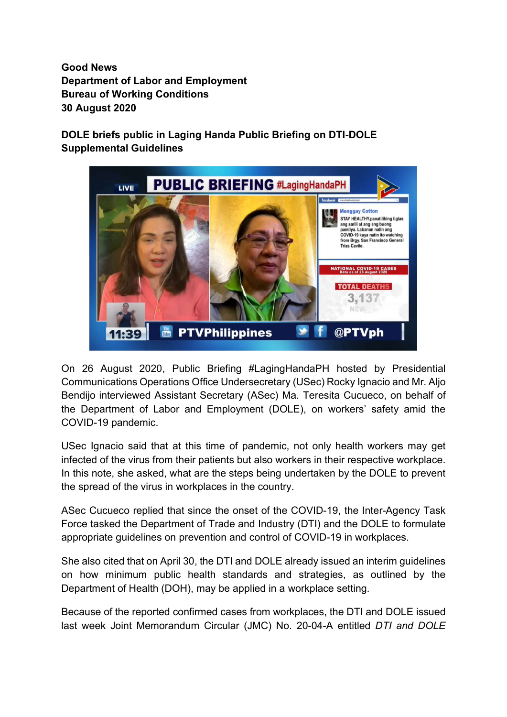Good News Department of Labor and Employment Bureau of Working Conditions 30 August 2020

DOLE briefs public in Laging Handa Public Briefing on DTI-DOLE Supplemental Guidelines



On 26 August 2020, Public Briefing #LagingHandaPH hosted by Presidential Communications Operations Office Undersecretary (USec) Rocky Ignacio and Mr. Aljo Bendijo interviewed Assistant Secretary (ASec) Ma. Teresita Cucueco, on behalf of the Department of Labor and Employment (DOLE), on workers' safety amid the COVID-19 pandemic.

USec Ignacio said that at this time of pandemic, not only health workers may get infected of the virus from their patients but also workers in their respective workplace. In this note, she asked, what are the steps being undertaken by the DOLE to prevent the spread of the virus in workplaces in the country.

ASec Cucueco replied that since the onset of the COVID-19, the Inter-Agency Task Force tasked the Department of Trade and Industry (DTI) and the DOLE to formulate appropriate guidelines on prevention and control of COVID-19 in workplaces.

She also cited that on April 30, the DTI and DOLE already issued an interim guidelines on how minimum public health standards and strategies, as outlined by the Department of Health (DOH), may be applied in a workplace setting.

Because of the reported confirmed cases from workplaces, the DTI and DOLE issued last week Joint Memorandum Circular (JMC) No. 20-04-A entitled DTI and DOLE